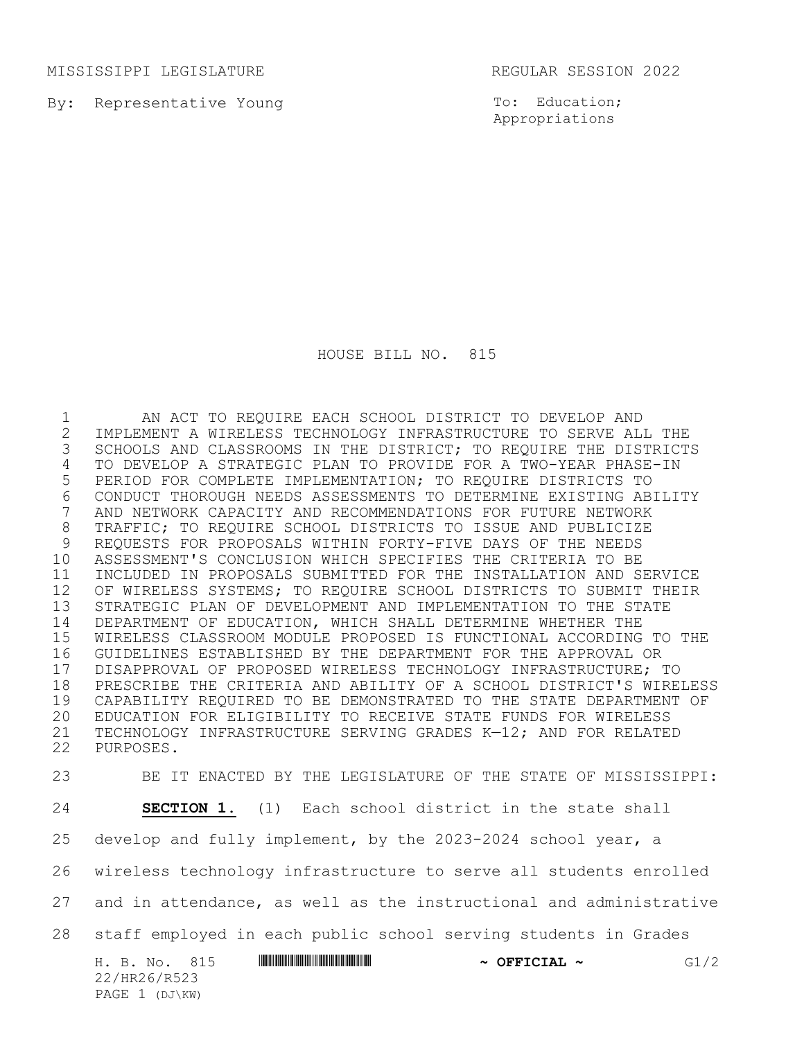MISSISSIPPI LEGISLATURE **REGULAR SESSION 2022** 

PAGE 1 (DJ\KW)

By: Representative Young

To: Education; Appropriations

HOUSE BILL NO. 815

 AN ACT TO REQUIRE EACH SCHOOL DISTRICT TO DEVELOP AND 2 IMPLEMENT A WIRELESS TECHNOLOGY INFRASTRUCTURE TO SERVE ALL THE<br>3 SCHOOLS AND CLASSROOMS IN THE DISTRICT; TO REQUIRE THE DISTRICT SCHOOLS AND CLASSROOMS IN THE DISTRICT; TO REQUIRE THE DISTRICTS TO DEVELOP A STRATEGIC PLAN TO PROVIDE FOR A TWO-YEAR PHASE-IN PERIOD FOR COMPLETE IMPLEMENTATION; TO REQUIRE DISTRICTS TO 6 CONDUCT THOROUGH NEEDS ASSESSMENTS TO DETERMINE EXISTING ABILITY<br>7 AND NETWORK CAPACITY AND RECOMMENDATIONS FOR FUTURE NETWORK AND NETWORK CAPACITY AND RECOMMENDATIONS FOR FUTURE NETWORK TRAFFIC; TO REQUIRE SCHOOL DISTRICTS TO ISSUE AND PUBLICIZE REQUESTS FOR PROPOSALS WITHIN FORTY-FIVE DAYS OF THE NEEDS ASSESSMENT'S CONCLUSION WHICH SPECIFIES THE CRITERIA TO BE INCLUDED IN PROPOSALS SUBMITTED FOR THE INSTALLATION AND SERVICE 12 OF WIRELESS SYSTEMS; TO REQUIRE SCHOOL DISTRICTS TO SUBMIT THEIR STRATEGIC PLAN OF DEVELOPMENT AND IMPLEMENTATION TO THE STATE DEPARTMENT OF EDUCATION, WHICH SHALL DETERMINE WHETHER THE WIRELESS CLASSROOM MODULE PROPOSED IS FUNCTIONAL ACCORDING TO THE GUIDELINES ESTABLISHED BY THE DEPARTMENT FOR THE APPROVAL OR 17 DISAPPROVAL OF PROPOSED WIRELESS TECHNOLOGY INFRASTRUCTURE; TO<br>18 PRESCRIBE THE CRITERIA AND ABILITY OF A SCHOOL DISTRICT'S WIRE PRESCRIBE THE CRITERIA AND ABILITY OF A SCHOOL DISTRICT'S WIRELESS CAPABILITY REQUIRED TO BE DEMONSTRATED TO THE STATE DEPARTMENT OF EDUCATION FOR ELIGIBILITY TO RECEIVE STATE FUNDS FOR WIRELESS TECHNOLOGY INFRASTRUCTURE SERVING GRADES K—12; AND FOR RELATED PURPOSES.

H. B. No. 815 **ANNIFORM SERVICIAL ~** OFFICIAL ~ G1/2 22/HR26/R523 BE IT ENACTED BY THE LEGISLATURE OF THE STATE OF MISSISSIPPI: **SECTION 1.** (1) Each school district in the state shall develop and fully implement, by the 2023-2024 school year, a wireless technology infrastructure to serve all students enrolled and in attendance, as well as the instructional and administrative staff employed in each public school serving students in Grades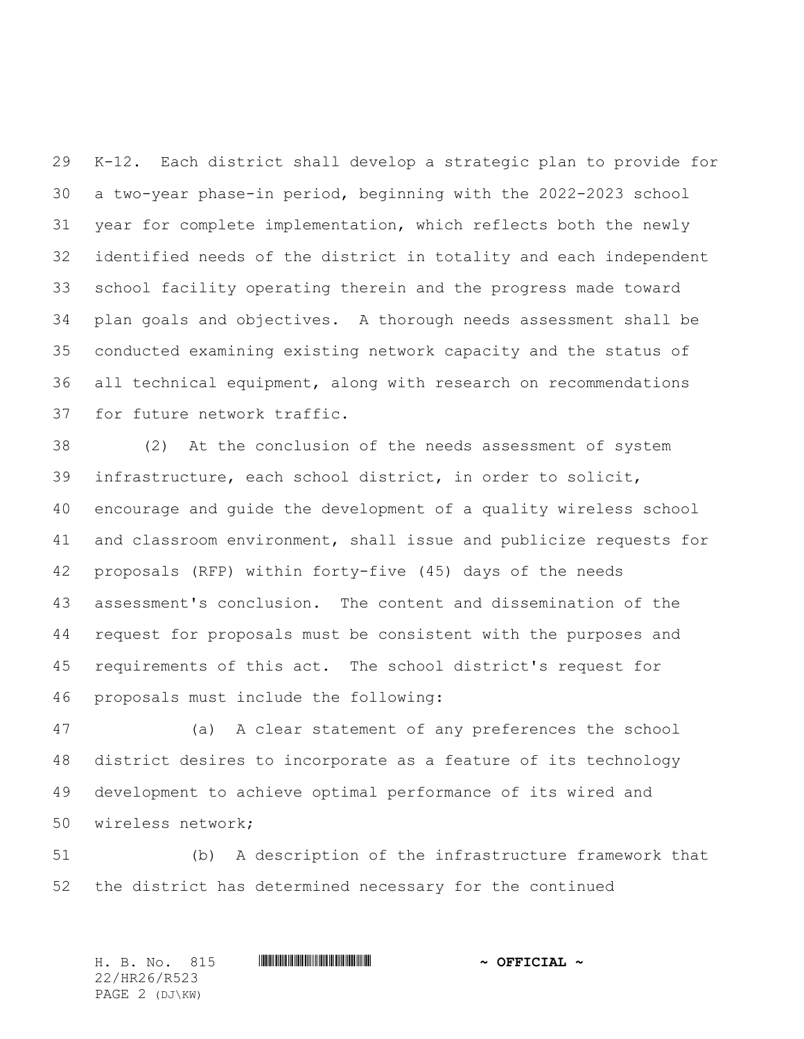K-12. Each district shall develop a strategic plan to provide for a two-year phase-in period, beginning with the 2022-2023 school year for complete implementation, which reflects both the newly identified needs of the district in totality and each independent school facility operating therein and the progress made toward plan goals and objectives. A thorough needs assessment shall be conducted examining existing network capacity and the status of all technical equipment, along with research on recommendations for future network traffic.

 (2) At the conclusion of the needs assessment of system infrastructure, each school district, in order to solicit, encourage and guide the development of a quality wireless school and classroom environment, shall issue and publicize requests for proposals (RFP) within forty-five (45) days of the needs assessment's conclusion. The content and dissemination of the request for proposals must be consistent with the purposes and requirements of this act. The school district's request for proposals must include the following:

 (a) A clear statement of any preferences the school district desires to incorporate as a feature of its technology development to achieve optimal performance of its wired and wireless network;

 (b) A description of the infrastructure framework that the district has determined necessary for the continued

H. B. No. 815 \*HR26/R523\* **~ OFFICIAL ~** 22/HR26/R523 PAGE 2 (DJ\KW)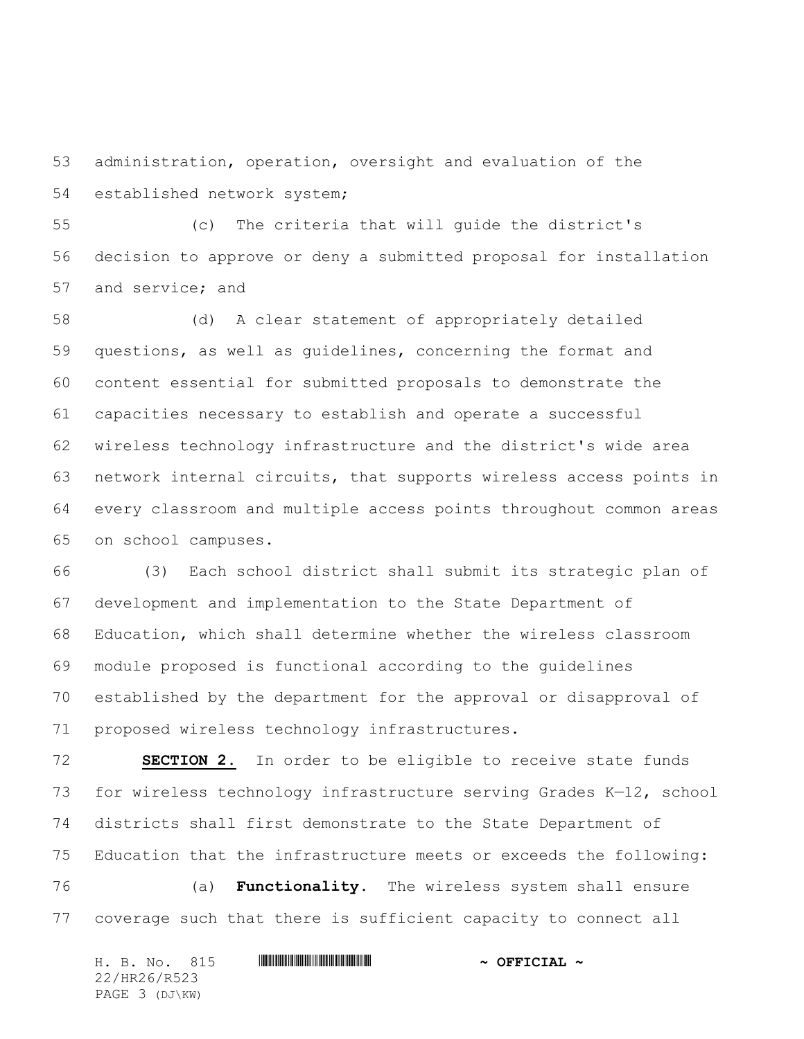administration, operation, oversight and evaluation of the established network system;

 (c) The criteria that will guide the district's decision to approve or deny a submitted proposal for installation and service; and

 (d) A clear statement of appropriately detailed questions, as well as guidelines, concerning the format and content essential for submitted proposals to demonstrate the capacities necessary to establish and operate a successful wireless technology infrastructure and the district's wide area network internal circuits, that supports wireless access points in every classroom and multiple access points throughout common areas on school campuses.

 (3) Each school district shall submit its strategic plan of development and implementation to the State Department of Education, which shall determine whether the wireless classroom module proposed is functional according to the guidelines established by the department for the approval or disapproval of proposed wireless technology infrastructures.

 **SECTION 2.** In order to be eligible to receive state funds for wireless technology infrastructure serving Grades K—12, school districts shall first demonstrate to the State Department of Education that the infrastructure meets or exceeds the following:

 (a) **Functionality**. The wireless system shall ensure coverage such that there is sufficient capacity to connect all

|              |  | H. B. No. 815  |  |  |  | $\sim$ OFFICIAL $\sim$ |  |  |  |
|--------------|--|----------------|--|--|--|------------------------|--|--|--|
| 22/HR26/R523 |  |                |  |  |  |                        |  |  |  |
|              |  | PAGE 3 (DJ\KW) |  |  |  |                        |  |  |  |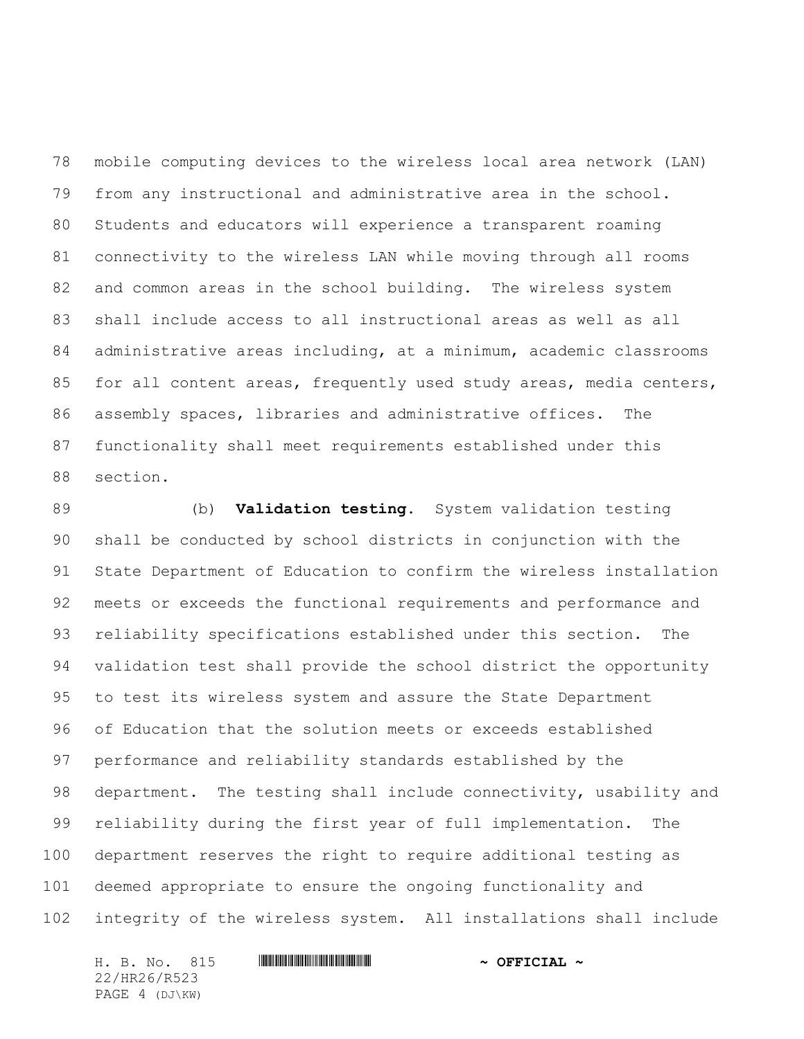mobile computing devices to the wireless local area network (LAN) from any instructional and administrative area in the school. Students and educators will experience a transparent roaming connectivity to the wireless LAN while moving through all rooms 82 and common areas in the school building. The wireless system shall include access to all instructional areas as well as all administrative areas including, at a minimum, academic classrooms 85 for all content areas, frequently used study areas, media centers, assembly spaces, libraries and administrative offices. The functionality shall meet requirements established under this section.

 (b) **Validation testing**. System validation testing shall be conducted by school districts in conjunction with the State Department of Education to confirm the wireless installation meets or exceeds the functional requirements and performance and reliability specifications established under this section. The validation test shall provide the school district the opportunity to test its wireless system and assure the State Department of Education that the solution meets or exceeds established performance and reliability standards established by the department. The testing shall include connectivity, usability and reliability during the first year of full implementation. The department reserves the right to require additional testing as deemed appropriate to ensure the ongoing functionality and integrity of the wireless system. All installations shall include

H. B. No. 815 \*HR26/R523\* **~ OFFICIAL ~** 22/HR26/R523 PAGE 4 (DJ\KW)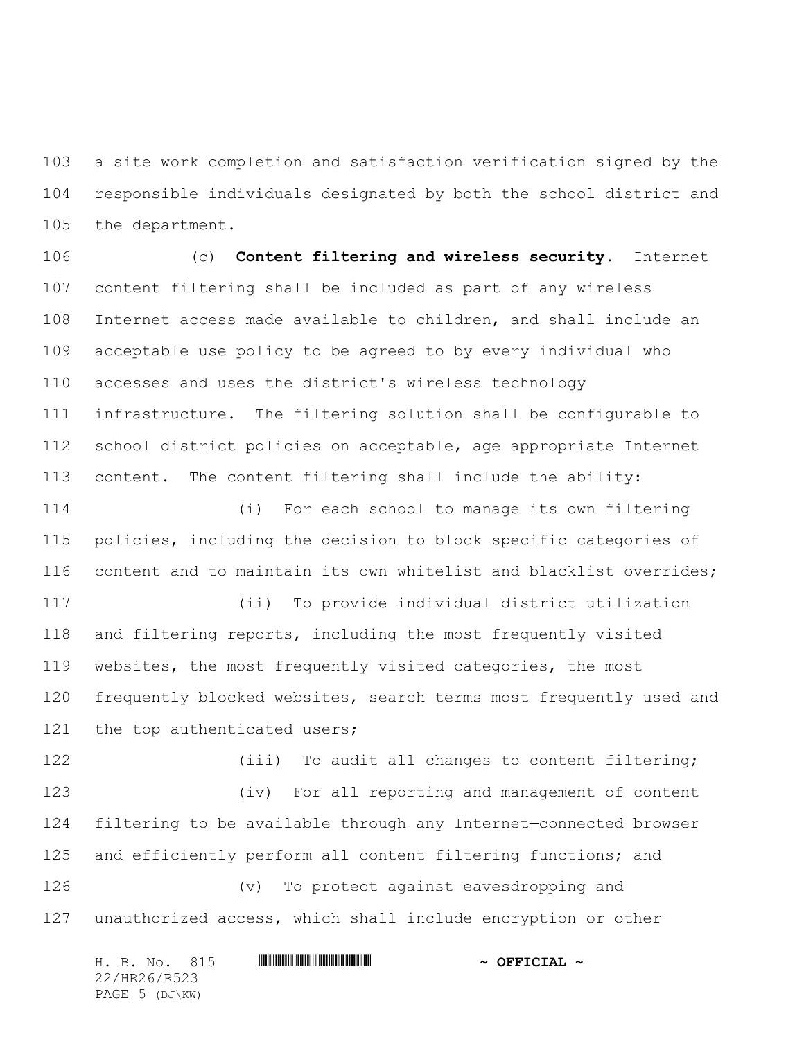a site work completion and satisfaction verification signed by the responsible individuals designated by both the school district and the department.

 (c) **Content filtering and wireless security.** Internet content filtering shall be included as part of any wireless Internet access made available to children, and shall include an acceptable use policy to be agreed to by every individual who accesses and uses the district's wireless technology infrastructure. The filtering solution shall be configurable to school district policies on acceptable, age appropriate Internet content. The content filtering shall include the ability:

 (i) For each school to manage its own filtering policies, including the decision to block specific categories of content and to maintain its own whitelist and blacklist overrides;

 (ii) To provide individual district utilization and filtering reports, including the most frequently visited websites, the most frequently visited categories, the most frequently blocked websites, search terms most frequently used and 121 the top authenticated users;

122 (iii) To audit all changes to content filtering; (iv) For all reporting and management of content filtering to be available through any Internet—connected browser and efficiently perform all content filtering functions; and (v) To protect against eavesdropping and unauthorized access, which shall include encryption or other

|              |  | H. B. No. 815  |  |  |  | $\sim$ OFFICIAL $\sim$ |  |  |  |
|--------------|--|----------------|--|--|--|------------------------|--|--|--|
| 22/HR26/R523 |  |                |  |  |  |                        |  |  |  |
|              |  | PAGE 5 (DJ\KW) |  |  |  |                        |  |  |  |